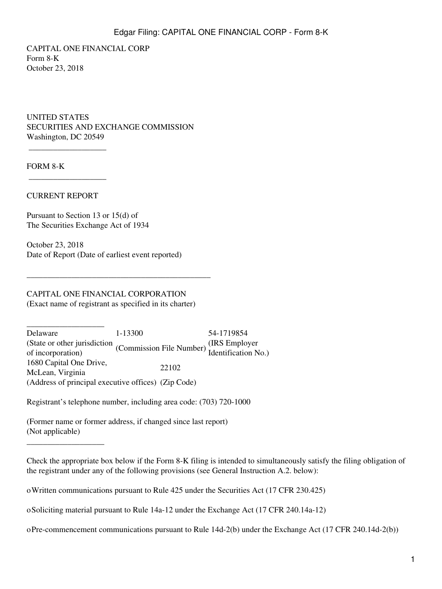CAPITAL ONE FINANCIAL CORP Form 8-K October 23, 2018

UNITED STATES SECURITIES AND EXCHANGE COMMISSION Washington, DC 20549

FORM 8-K

#### CURRENT REPORT

\_\_\_\_\_\_\_\_\_\_\_\_\_\_\_\_\_\_\_

 $\overline{\phantom{a}}$  , we can also assume that  $\overline{\phantom{a}}$ 

\_\_\_\_\_\_\_\_\_\_\_\_\_\_\_\_\_\_\_

Pursuant to Section 13 or 15(d) of The Securities Exchange Act of 1934

October 23, 2018 Date of Report (Date of earliest event reported)

# CAPITAL ONE FINANCIAL CORPORATION

(Exact name of registrant as specified in its charter)

\_\_\_\_\_\_\_\_\_\_\_\_\_\_\_\_\_\_\_\_\_\_\_\_\_\_\_\_\_\_\_\_\_\_\_\_\_\_\_\_\_\_\_\_\_

\_\_\_\_\_\_\_\_\_\_\_\_\_\_\_\_\_\_\_ Delaware 1-13300 54-1719854 (State or other jurisdiction (Commission File Number) (IRS Employer of incorporation) Identification No.) 1680 Capital One Drive, Proceduration Diversity 22102<br>McLean, Virginia (Address of principal executive offices) (Zip Code)

Registrant's telephone number, including area code: (703) 720-1000

(Former name or former address, if changed since last report) (Not applicable)

oWritten communications pursuant to Rule 425 under the Securities Act (17 CFR 230.425)

oSoliciting material pursuant to Rule 14a-12 under the Exchange Act (17 CFR 240.14a-12)

oPre-commencement communications pursuant to Rule 14d-2(b) under the Exchange Act (17 CFR 240.14d-2(b))

Check the appropriate box below if the Form 8-K filing is intended to simultaneously satisfy the filing obligation of the registrant under any of the following provisions (see General Instruction A.2. below):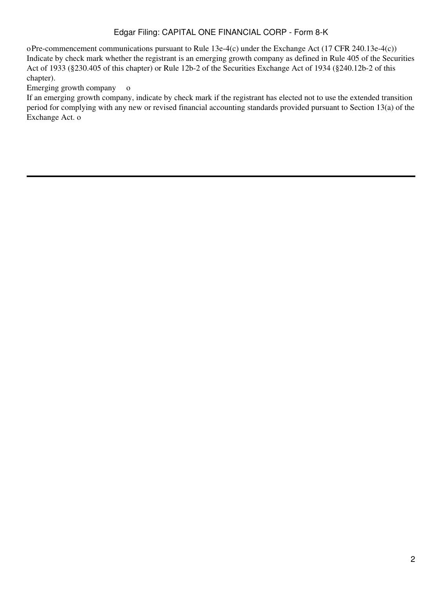## Edgar Filing: CAPITAL ONE FINANCIAL CORP - Form 8-K

oPre-commencement communications pursuant to Rule 13e-4(c) under the Exchange Act (17 CFR 240.13e-4(c)) Indicate by check mark whether the registrant is an emerging growth company as defined in Rule 405 of the Securities Act of 1933 (§230.405 of this chapter) or Rule 12b-2 of the Securities Exchange Act of 1934 (§240.12b-2 of this chapter).

Emerging growth company o

If an emerging growth company, indicate by check mark if the registrant has elected not to use the extended transition period for complying with any new or revised financial accounting standards provided pursuant to Section 13(a) of the Exchange Act. o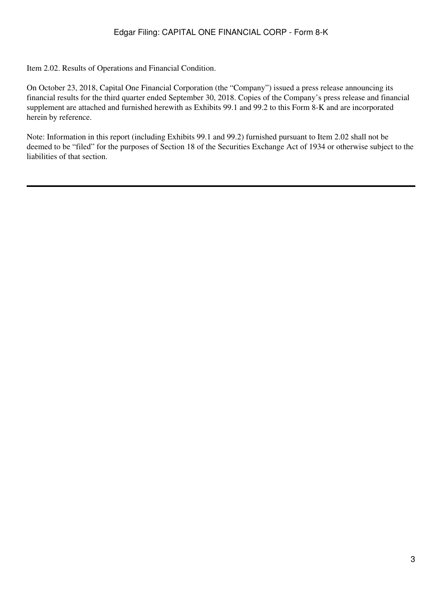Item 2.02. Results of Operations and Financial Condition.

On October 23, 2018, Capital One Financial Corporation (the "Company") issued a press release announcing its financial results for the third quarter ended September 30, 2018. Copies of the Company's press release and financial supplement are attached and furnished herewith as Exhibits 99.1 and 99.2 to this Form 8-K and are incorporated herein by reference.

Note: Information in this report (including Exhibits 99.1 and 99.2) furnished pursuant to Item 2.02 shall not be deemed to be "filed" for the purposes of Section 18 of the Securities Exchange Act of 1934 or otherwise subject to the liabilities of that section.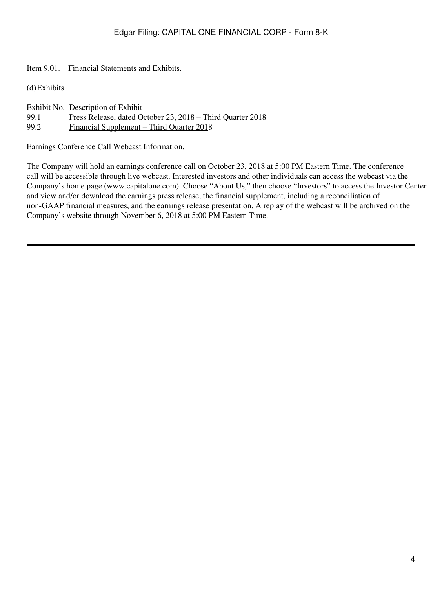Item 9.01. Financial Statements and Exhibits.

(d)Exhibits.

|      | Exhibit No. Description of Exhibit                         |
|------|------------------------------------------------------------|
| 99.1 | Press Release, dated October 23, 2018 – Third Quarter 2018 |
| 99.2 | <u> Financial Supplement – Third Quarter 2018</u>          |

Earnings Conference Call Webcast Information.

The Company will hold an earnings conference call on October 23, 2018 at 5:00 PM Eastern Time. The conference call will be accessible through live webcast. Interested investors and other individuals can access the webcast via the Company's home page (www.capitalone.com). Choose "About Us," then choose "Investors" to access the Investor Center and view and/or download the earnings press release, the financial supplement, including a reconciliation of non-GAAP financial measures, and the earnings release presentation. A replay of the webcast will be archived on the Company's website through November 6, 2018 at 5:00 PM Eastern Time.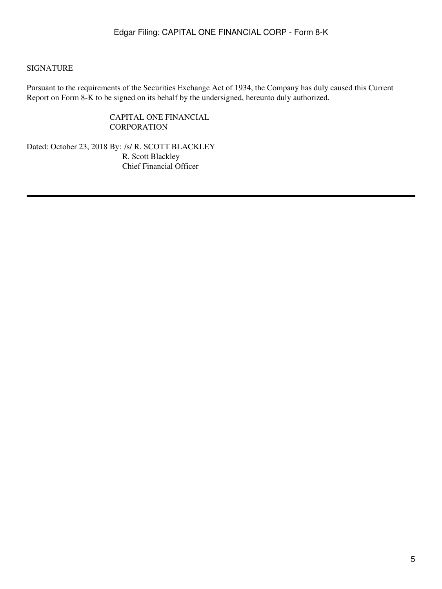### SIGNATURE

Pursuant to the requirements of the Securities Exchange Act of 1934, the Company has duly caused this Current Report on Form 8-K to be signed on its behalf by the undersigned, hereunto duly authorized.

> CAPITAL ONE FINANCIAL **CORPORATION**

Dated: October 23, 2018 By: /s/ R. SCOTT BLACKLEY R. Scott Blackley Chief Financial Officer